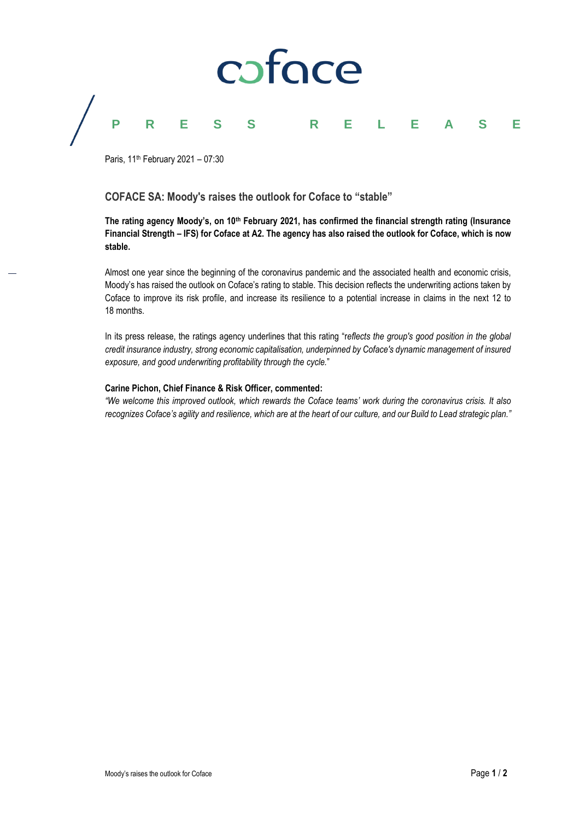

# **PRESS RELEASE**

Paris, 11<sup>th</sup> February 2021 - 07:30

# **COFACE SA: Moody's raises the outlook for Coface to "stable"**

**The rating agency Moody's, on 10th February 2021, has confirmed the financial strength rating (Insurance Financial Strength – IFS) for Coface at A2. The agency has also raised the outlook for Coface, which is now stable.**

Almost one year since the beginning of the coronavirus pandemic and the associated health and economic crisis, Moody's has raised the outlook on Coface's rating to stable. This decision reflects the underwriting actions taken by Coface to improve its risk profile, and increase its resilience to a potential increase in claims in the next 12 to 18 months.

In its press release, the ratings agency underlines that this rating "r*eflects the group's good position in the global credit insurance industry, strong economic capitalisation, underpinned by Coface's dynamic management of insured exposure, and good underwriting profitability through the cycle.*"

# **Carine Pichon, Chief Finance & Risk Officer, commented:**

*"We welcome this improved outlook, which rewards the Coface teams' work during the coronavirus crisis. It also recognizes Coface's agility and resilience, which are at the heart of our culture, and our Build to Lead strategic plan."*